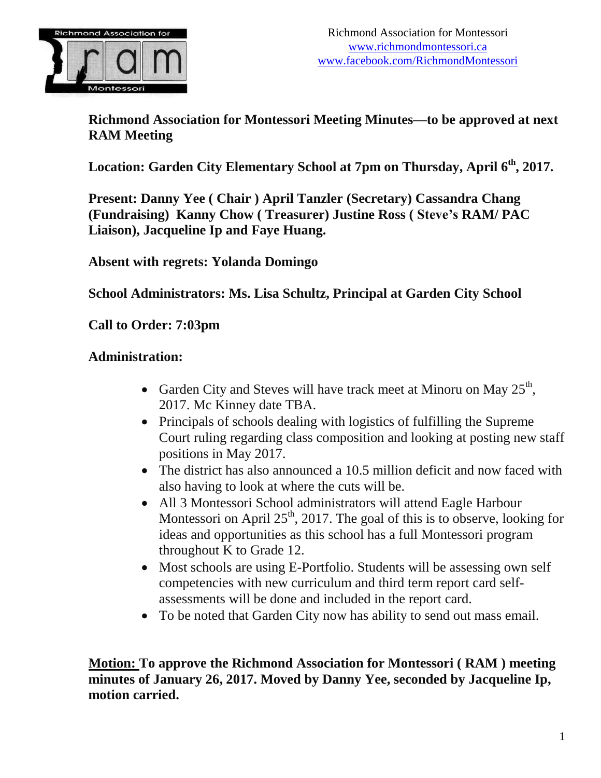

**Richmond Association for Montessori Meeting Minutes—to be approved at next RAM Meeting**

**Location: Garden City Elementary School at 7pm on Thursday, April 6 th , 2017.**

**Present: Danny Yee ( Chair ) April Tanzler (Secretary) Cassandra Chang (Fundraising) Kanny Chow ( Treasurer) Justine Ross ( Steve's RAM/ PAC Liaison), Jacqueline Ip and Faye Huang.**

**Absent with regrets: Yolanda Domingo**

**School Administrators: Ms. Lisa Schultz, Principal at Garden City School**

**Call to Order: 7:03pm**

#### **Administration:**

- Garden City and Steves will have track meet at Minoru on May  $25<sup>th</sup>$ , 2017. Mc Kinney date TBA.
- Principals of schools dealing with logistics of fulfilling the Supreme Court ruling regarding class composition and looking at posting new staff positions in May 2017.
- The district has also announced a 10.5 million deficit and now faced with also having to look at where the cuts will be.
- All 3 Montessori School administrators will attend Eagle Harbour Montessori on April  $25<sup>th</sup>$ , 2017. The goal of this is to observe, looking for ideas and opportunities as this school has a full Montessori program throughout K to Grade 12.
- Most schools are using E-Portfolio. Students will be assessing own self competencies with new curriculum and third term report card selfassessments will be done and included in the report card.
- To be noted that Garden City now has ability to send out mass email.

**Motion: To approve the Richmond Association for Montessori ( RAM ) meeting minutes of January 26, 2017. Moved by Danny Yee, seconded by Jacqueline Ip, motion carried.**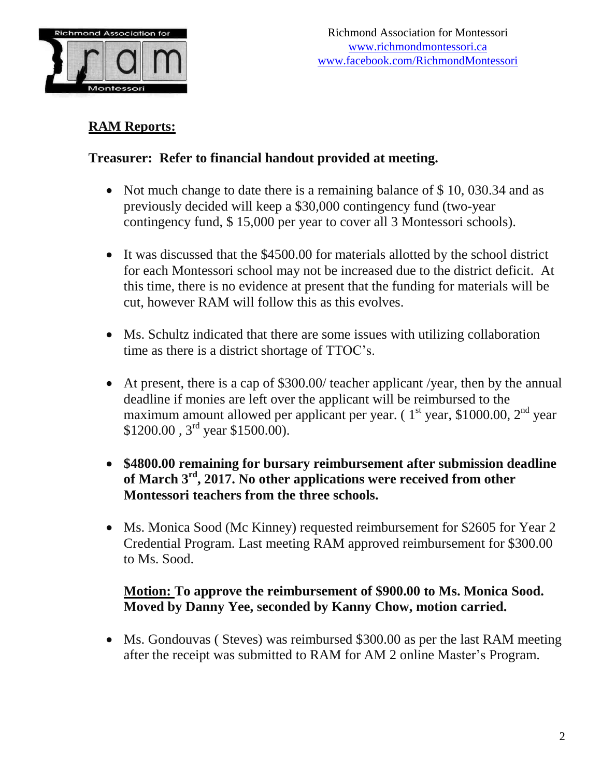

## **RAM Reports:**

## **Treasurer: Refer to financial handout provided at meeting.**

- Not much change to date there is a remaining balance of \$10,030.34 and as previously decided will keep a \$30,000 contingency fund (two-year contingency fund, \$ 15,000 per year to cover all 3 Montessori schools).
- It was discussed that the \$4500.00 for materials allotted by the school district for each Montessori school may not be increased due to the district deficit. At this time, there is no evidence at present that the funding for materials will be cut, however RAM will follow this as this evolves.
- Ms. Schultz indicated that there are some issues with utilizing collaboration time as there is a district shortage of TTOC's.
- At present, there is a cap of \$300.00/ teacher applicant /year, then by the annual deadline if monies are left over the applicant will be reimbursed to the maximum amount allowed per applicant per year.  $(1<sup>st</sup>$  year, \$1000.00,  $2<sup>nd</sup>$  year  $$1200.00$ ,  $3<sup>rd</sup>$  year \$1500.00).
- **\$4800.00 remaining for bursary reimbursement after submission deadline of March 3 rd , 2017. No other applications were received from other Montessori teachers from the three schools.**
- Ms. Monica Sood (Mc Kinney) requested reimbursement for \$2605 for Year 2 Credential Program. Last meeting RAM approved reimbursement for \$300.00 to Ms. Sood.

## **Motion: To approve the reimbursement of \$900.00 to Ms. Monica Sood. Moved by Danny Yee, seconded by Kanny Chow, motion carried.**

• Ms. Gondouvas ( Steves) was reimbursed \$300.00 as per the last RAM meeting after the receipt was submitted to RAM for AM 2 online Master's Program.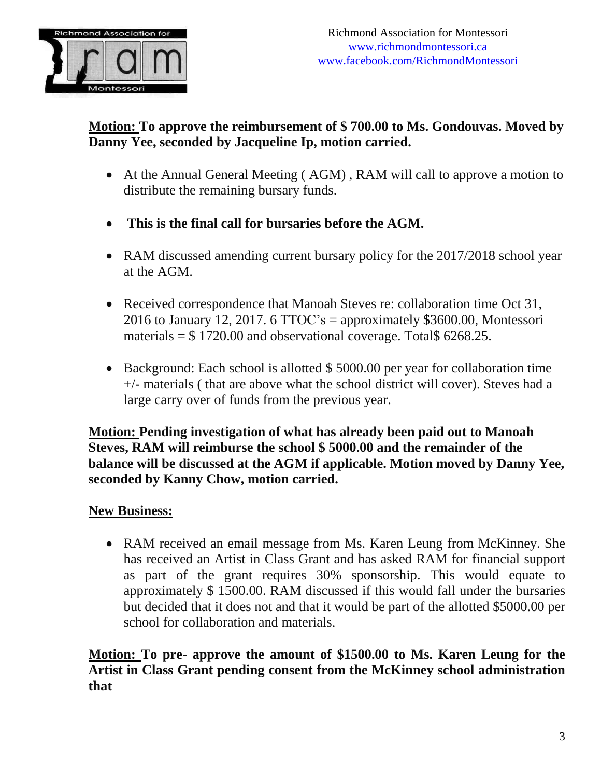

## **Motion: To approve the reimbursement of \$ 700.00 to Ms. Gondouvas. Moved by Danny Yee, seconded by Jacqueline Ip, motion carried.**

- At the Annual General Meeting ( AGM) , RAM will call to approve a motion to distribute the remaining bursary funds.
- **This is the final call for bursaries before the AGM.**
- RAM discussed amending current bursary policy for the 2017/2018 school year at the AGM.
- Received correspondence that Manoah Steves re: collaboration time Oct 31, 2016 to January 12, 2017. 6 TTOC's = approximately  $$3600.00$ , Montessori materials  $=$  \$ 1720.00 and observational coverage. Total \$ 6268.25.
- Background: Each school is allotted \$5000.00 per year for collaboration time +/- materials ( that are above what the school district will cover). Steves had a large carry over of funds from the previous year.

**Motion: Pending investigation of what has already been paid out to Manoah Steves, RAM will reimburse the school \$ 5000.00 and the remainder of the balance will be discussed at the AGM if applicable. Motion moved by Danny Yee, seconded by Kanny Chow, motion carried.**

### **New Business:**

• RAM received an email message from Ms. Karen Leung from McKinney. She has received an Artist in Class Grant and has asked RAM for financial support as part of the grant requires 30% sponsorship. This would equate to approximately \$ 1500.00. RAM discussed if this would fall under the bursaries but decided that it does not and that it would be part of the allotted \$5000.00 per school for collaboration and materials.

**Motion: To pre- approve the amount of \$1500.00 to Ms. Karen Leung for the Artist in Class Grant pending consent from the McKinney school administration that**